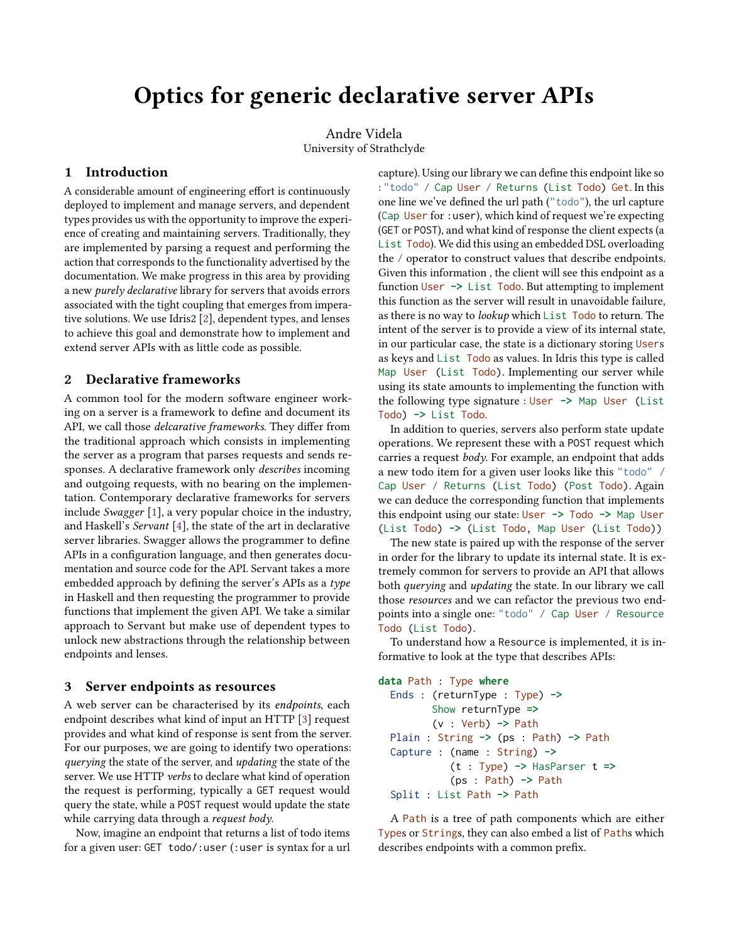# Optics for generic declarative server APIs

Andre Videla University of Strathclyde

#### 1 Introduction

A considerable amount of engineering effort is continuously deployed to implement and manage servers, and dependent types provides us with the opportunity to improve the experience of creating and maintaining servers. Traditionally, they are implemented by parsing a request and performing the action that corresponds to the functionality advertised by the documentation. We make progress in this area by providing a new purely declarative library for servers that avoids errors associated with the tight coupling that emerges from imperative solutions. We use Idris2 [\[2\]](#page-2-0), dependent types, and lenses to achieve this goal and demonstrate how to implement and extend server APIs with as little code as possible.

### 2 Declarative frameworks

A common tool for the modern software engineer working on a server is a framework to define and document its API, we call those delcarative frameworks. They differ from the traditional approach which consists in implementing the server as a program that parses requests and sends responses. A declarative framework only describes incoming and outgoing requests, with no bearing on the implementation. Contemporary declarative frameworks for servers include Swagger [\[1\]](#page-2-1), a very popular choice in the industry, and Haskell's Servant [\[4\]](#page-2-2), the state of the art in declarative server libraries. Swagger allows the programmer to define APIs in a configuration language, and then generates documentation and source code for the API. Servant takes a more embedded approach by defining the server's APIs as a type in Haskell and then requesting the programmer to provide functions that implement the given API. We take a similar approach to Servant but make use of dependent types to unlock new abstractions through the relationship between endpoints and lenses.

### 3 Server endpoints as resources

A web server can be characterised by its endpoints, each endpoint describes what kind of input an HTTP [\[3\]](#page-2-3) request provides and what kind of response is sent from the server. For our purposes, we are going to identify two operations: querying the state of the server, and updating the state of the server. We use HTTP verbs to declare what kind of operation the request is performing, typically a GET request would query the state, while a POST request would update the state while carrying data through a *request body*.

Now, imagine an endpoint that returns a list of todo items for a given user: GET todo/:user (:user is syntax for a url

capture). Using our library we can define this endpoint like so : "todo" / Cap User / Returns (List Todo) Get. In this one line we've defined the url path ("todo"), the url capture (Cap User for :user), which kind of request we're expecting (GET or POST), and what kind of response the client expects (a List Todo). We did this using an embedded DSL overloading the / operator to construct values that describe endpoints. Given this information , the client will see this endpoint as a function User **->** List Todo. But attempting to implement this function as the server will result in unavoidable failure, as there is no way to lookup which List Todo to return. The intent of the server is to provide a view of its internal state, in our particular case, the state is a dictionary storing Users as keys and List Todo as values. In Idris this type is called Map User (List Todo). Implementing our server while using its state amounts to implementing the function with the following type signature : User **->** Map User (List Todo) **->** List Todo.

In addition to queries, servers also perform state update operations. We represent these with a POST request which carries a request body. For example, an endpoint that adds a new todo item for a given user looks like this "todo" / Cap User / Returns (List Todo) (Post Todo). Again we can deduce the corresponding function that implements this endpoint using our state: User **->** Todo **->** Map User (List Todo) **->** (List Todo, Map User (List Todo))

The new state is paired up with the response of the server in order for the library to update its internal state. It is extremely common for servers to provide an API that allows both querying and updating the state. In our library we call those resources and we can refactor the previous two endpoints into a single one: "todo" / Cap User / Resource Todo (List Todo).

To understand how a Resource is implemented, it is informative to look at the type that describes APIs:

```
data Path : Type where
```

```
Ends : (returnType : Type) ->
       Show returnType =>
       (v : Verb) -> Path
Plain : String -> (ps : Path) -> Path
Capture : (name : String) ->
          (t : Type) -> HasParser t =>
          (ps : Path) -> Path
Split : List Path -> Path
```
A Path is a tree of path components which are either Types or Strings, they can also embed a list of Paths which describes endpoints with a common prefix.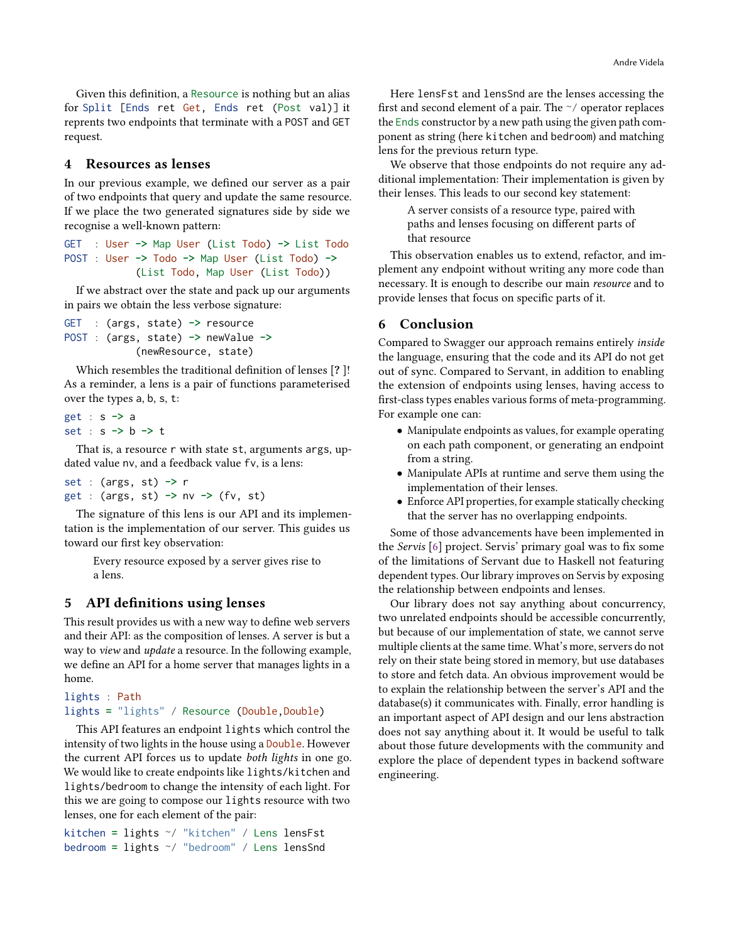Given this definition, a Resource is nothing but an alias for Split [Ends ret Get, Ends ret (Post val)] it reprents two endpoints that terminate with a POST and GET request.

## 4 Resources as lenses

In our previous example, we defined our server as a pair of two endpoints that query and update the same resource. If we place the two generated signatures side by side we recognise a well-known pattern:

GET : User **->** Map User (List Todo) **->** List Todo POST : User **->** Todo **->** Map User (List Todo) **->** (List Todo, Map User (List Todo))

If we abstract over the state and pack up our arguments in pairs we obtain the less verbose signature:

```
GET : (args, state) -> resource
POST : (args, state) -> newValue ->
            (newResource, state)
```
Which resembles the traditional definition of lenses [? ]! As a reminder, a lens is a pair of functions parameterised over the types a, b, s, t:

```
get : s -> a
set : s -> b -> t
```
That is, a resource r with state st, arguments args, updated value nv, and a feedback value fv, is a lens:

```
set : (args, st) -> r
get : (args, st) -> nv -> (fv, st)
```
The signature of this lens is our API and its implementation is the implementation of our server. This guides us toward our first key observation:

Every resource exposed by a server gives rise to a lens.

### 5 API definitions using lenses

This result provides us with a new way to define web servers and their API: as the composition of lenses. A server is but a way to view and update a resource. In the following example, we define an API for a home server that manages lights in a home.

```
lights : Path
lights = "lights" / Resource (Double,Double)
```
This API features an endpoint lights which control the intensity of two lights in the house using a Double. However the current API forces us to update both lights in one go. We would like to create endpoints like lights/kitchen and lights/bedroom to change the intensity of each light. For this we are going to compose our lights resource with two lenses, one for each element of the pair:

kitchen **=** lights ~/ "kitchen" / Lens lensFst bedroom **=** lights ~/ "bedroom" / Lens lensSnd

Here lensFst and lensSnd are the lenses accessing the first and second element of a pair. The ~/ operator replaces the Ends constructor by a new path using the given path component as string (here kitchen and bedroom) and matching lens for the previous return type.

We observe that those endpoints do not require any additional implementation: Their implementation is given by their lenses. This leads to our second key statement:

> A server consists of a resource type, paired with paths and lenses focusing on different parts of that resource

This observation enables us to extend, refactor, and implement any endpoint without writing any more code than necessary. It is enough to describe our main resource and to provide lenses that focus on specific parts of it.

#### 6 Conclusion

Compared to Swagger our approach remains entirely inside the language, ensuring that the code and its API do not get out of sync. Compared to Servant, in addition to enabling the extension of endpoints using lenses, having access to first-class types enables various forms of meta-programming. For example one can:

- Manipulate endpoints as values, for example operating on each path component, or generating an endpoint from a string.
- Manipulate APIs at runtime and serve them using the implementation of their lenses.
- Enforce API properties, for example statically checking that the server has no overlapping endpoints.

Some of those advancements have been implemented in the Servis [\[6\]](#page-2-4) project. Servis' primary goal was to fix some of the limitations of Servant due to Haskell not featuring dependent types. Our library improves on Servis by exposing the relationship between endpoints and lenses.

Our library does not say anything about concurrency, two unrelated endpoints should be accessible concurrently, but because of our implementation of state, we cannot serve multiple clients at the same time. What's more, servers do not rely on their state being stored in memory, but use databases to store and fetch data. An obvious improvement would be to explain the relationship between the server's API and the database(s) it communicates with. Finally, error handling is an important aspect of API design and our lens abstraction does not say anything about it. It would be useful to talk about those future developments with the community and explore the place of dependent types in backend software engineering.